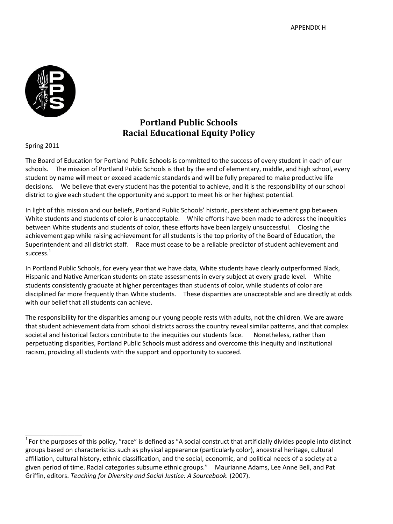

## **Portland Public Schools Racial Educational Equity Policy**

Spring 2011

 $\mathcal{L}$  , we have the set of  $\mathcal{L}$ 

The Board of Education for Portland Public Schools is committed to the success of every student in each of our schools. The mission of Portland Public Schools is that by the end of elementary, middle, and high school, every student by name will meet or exceed academic standards and will be fully prepared to make productive life decisions. We believe that every student has the potential to achieve, and it is the responsibility of our school district to give each student the opportunity and support to meet his or her highest potential.

In light of this mission and our beliefs, Portland Public Schools' historic, persistent achievement gap between White students and students of color is unacceptable. While efforts have been made to address the inequities between White students and students of color, these efforts have been largely unsuccessful. Closing the achievement gap while raising achievement for all students is the top priority of the Board of Education, the Superintendent and all district staff. Race must cease to be a reliable predictor of student achievement and success.<sup>1</sup>

In Portland Public Schools, for every year that we have data, White students have clearly outperformed Black, Hispanic and Native American students on state assessments in every subject at every grade level. White students consistently graduate at higher percentages than students of color, while students of color are disciplined far more frequently than White students. These disparities are unacceptable and are directly at odds with our belief that all students can achieve.

The responsibility for the disparities among our young people rests with adults, not the children. We are aware that student achievement data from school districts across the country reveal similar patterns, and that complex societal and historical factors contribute to the inequities our students face. Nonetheless, rather than perpetuating disparities, Portland Public Schools must address and overcome this inequity and institutional racism, providing all students with the support and opportunity to succeed.

 $1$  For the purposes of this policy, "race" is defined as "A social construct that artificially divides people into distinct groups based on characteristics such as physical appearance (particularly color), ancestral heritage, cultural affiliation, cultural history, ethnic classification, and the social, economic, and political needs of a society at a given period of time. Racial categories subsume ethnic groups." Maurianne Adams, Lee Anne Bell, and Pat Griffin, editors. *Teaching for Diversity and Social Justice: A Sourcebook.* (2007).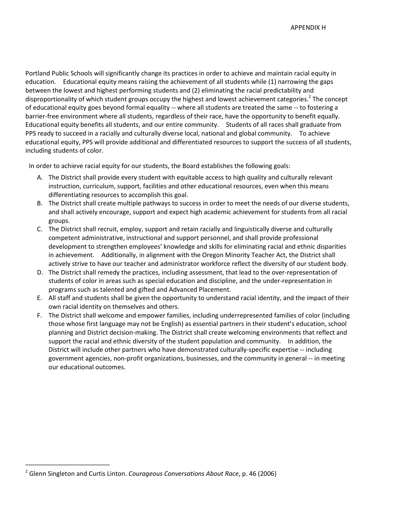APPENDIX H

Portland Public Schools will significantly change its practices in order to achieve and maintain racial equity in education. Educational equity means raising the achievement of all students while (1) narrowing the gaps between the lowest and highest performing students and (2) eliminating the racial predictability and disproportionality of which student groups occupy the highest and lowest achievement categories.<sup>2</sup> The concept of educational equity goes beyond formal equality -- where all students are treated the same -- to fostering a barrier-free environment where all students, regardless of their race, have the opportunity to benefit equally. Educational equity benefits all students, and our entire community. Students of all races shall graduate from PPS ready to succeed in a racially and culturally diverse local, national and global community. To achieve educational equity, PPS will provide additional and differentiated resources to support the success of all students, including students of color.

In order to achieve racial equity for our students, the Board establishes the following goals:

- A. The District shall provide every student with equitable access to high quality and culturally relevant instruction, curriculum, support, facilities and other educational resources, even when this means differentiating resources to accomplish this goal.
- B. The District shall create multiple pathways to success in order to meet the needs of our diverse students, and shall actively encourage, support and expect high academic achievement for students from all racial groups.
- C. The District shall recruit, employ, support and retain racially and linguistically diverse and culturally competent administrative, instructional and support personnel, and shall provide professional development to strengthen employees' knowledge and skills for eliminating racial and ethnic disparities in achievement. Additionally, in alignment with the Oregon Minority Teacher Act, the District shall actively strive to have our teacher and administrator workforce reflect the diversity of our student body.
- D. The District shall remedy the practices, including assessment, that lead to the over-representation of students of color in areas such as special education and discipline, and the under-representation in programs such as talented and gifted and Advanced Placement.
- E. All staff and students shall be given the opportunity to understand racial identity, and the impact of their own racial identity on themselves and others.
- F. The District shall welcome and empower families, including underrepresented families of color (including those whose first language may not be English) as essential partners in their student's education, school planning and District decision-making. The District shall create welcoming environments that reflect and support the racial and ethnic diversity of the student population and community. In addition, the District will include other partners who have demonstrated culturally-specific expertise -- including government agencies, non-profit organizations, businesses, and the community in general -- in meeting our educational outcomes.

 $\mathcal{L}=\mathcal{L}=\mathcal{L}=\mathcal{L}=\mathcal{L}=\mathcal{L}=\mathcal{L}=\mathcal{L}=\mathcal{L}=\mathcal{L}=\mathcal{L}=\mathcal{L}=\mathcal{L}=\mathcal{L}=\mathcal{L}=\mathcal{L}=\mathcal{L}=\mathcal{L}=\mathcal{L}=\mathcal{L}=\mathcal{L}=\mathcal{L}=\mathcal{L}=\mathcal{L}=\mathcal{L}=\mathcal{L}=\mathcal{L}=\mathcal{L}=\mathcal{L}=\mathcal{L}=\mathcal{L}=\mathcal{L}=\mathcal{L}=\mathcal{L}=\mathcal{L}=\mathcal{L}=\mathcal{$ 

<sup>2</sup> Glenn Singleton and Curtis Linton. *Courageous Conversations About Race*, p. 46 (2006)